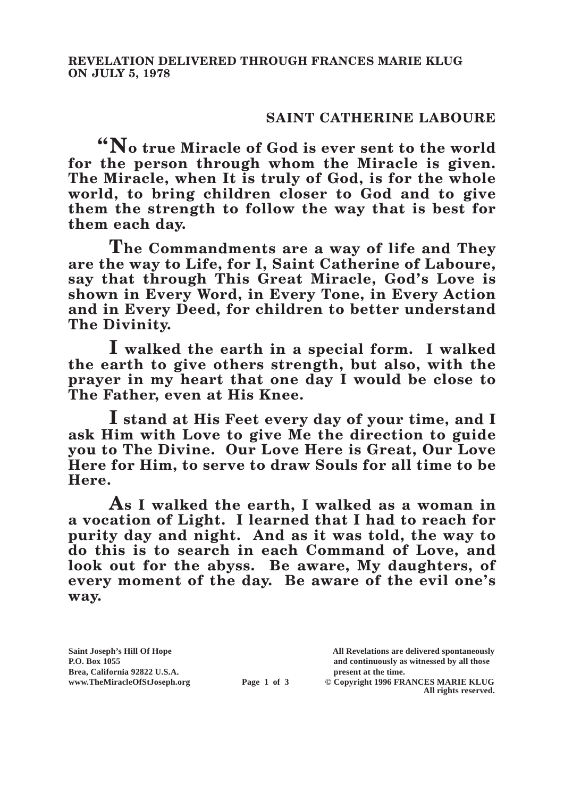## **SAINT CATHERINE LABOURE**

**"No true Miracle of God is ever sent to the world for the person through whom the Miracle is given. The Miracle, when It is truly of God, is for the whole world, to bring children closer to God and to give them the strength to follow the way that is best for them each day.**

**The Commandments are a way of life and They are the way to Life, for I, Saint Catherine of Laboure, say that through This Great Miracle, God's Love is shown in Every Word, in Every Tone, in Every Action and in Every Deed, for children to better understand The Divinity.**

**I walked the earth in a special form. I walked the earth to give others strength, but also, with the prayer in my heart that one day I would be close to The Father, even at His Knee.**

**I stand at His Feet every day of your time, and I ask Him with Love to give Me the direction to guide you to The Divine. Our Love Here is Great, Our Love Here for Him, to serve to draw Souls for all time to be Here.**

**As I walked the earth, I walked as a woman in a vocation of Light. I learned that I had to reach for purity day and night. And as it was told, the way to do this is to search in each Command of Love, and look out for the abyss. Be aware, My daughters, of every moment of the day. Be aware of the evil one's way.**

**Saint Joseph's Hill Of Hope All Revelations are delivered spontaneously P.O. Box 1055 and continuously as witnessed by all those** 

**Page 1 of 3** © Copyright 1996 FRANCES MARIE KLUG **All rights reserved.**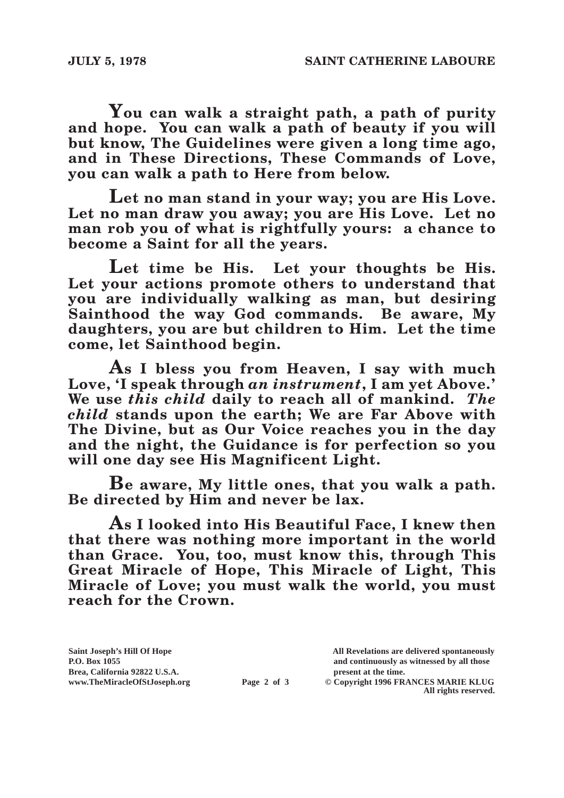**You can walk a straight path, a path of purity and hope. You can walk a path of beauty if you will but know, The Guidelines were given a long time ago, and in These Directions, These Commands of Love, you can walk a path to Here from below.**

**Let no man stand in your way; you are His Love. Let no man draw you away; you are His Love. Let no man rob you of what is rightfully yours: a chance to become a Saint for all the years.**

**Let time be His. Let your thoughts be His. Let your actions promote others to understand that you are individually walking as man, but desiring Sainthood the way God commands. Be aware, My daughters, you are but children to Him. Let the time come, let Sainthood begin.**

**As I bless you from Heaven, I say with much Love, 'I speak through** *an instrument***, I am yet Above.' We use** *this child* **daily to reach all of mankind.** *The child* **stands upon the earth; We are Far Above with The Divine, but as Our Voice reaches you in the day and the night, the Guidance is for perfection so you will one day see His Magnificent Light.**

**Be aware, My little ones, that you walk a path. Be directed by Him and never be lax.**

**As I looked into His Beautiful Face, I knew then that there was nothing more important in the world than Grace. You, too, must know this, through This Great Miracle of Hope, This Miracle of Light, This Miracle of Love; you must walk the world, you must reach for the Crown.**

Brea, California 92822 U.S.A.<br>
www.TheMiracleOfStJoseph.org<br> **Page 2 of 3** © Copyright 1996 FR.

**Saint Joseph's Hill Of Hope All Revelations are delivered spontaneously P.O. Box 1055 and continuously as witnessed by all those** 

**Page 2 of 3** © Copyright 1996 FRANCES MARIE KLUG **All rights reserved.**